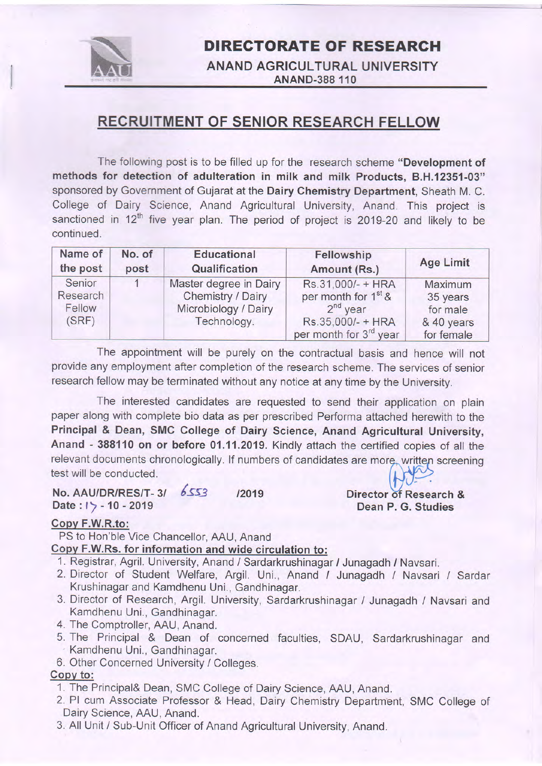

## DIRECTORATE OF RESEARGH

### ANAND AGRICULTURAL UNIVERSITY ANAND-388 110

## RECRUITMENT OF SENIOR RESEARCH FELLOW

The following post is to be filled up for the research scheme "Development of methods for detection of adulteration in milk and milk Products, 8.H.12351-03" sponsored by Government of Gujarat at the Dairy Chemistry Department, Sheath M. C. College of Dairy Science, Anand Agricultural University, Anand. This project is sanctioned in 12<sup>th</sup> five year plan. The period of project is 2019-20 and likely to be continued.

| Name of                               | No. of | <b>Educational</b>                                                                 | Fellowship                                                                                                                    | <b>Age Limit</b>                                            |
|---------------------------------------|--------|------------------------------------------------------------------------------------|-------------------------------------------------------------------------------------------------------------------------------|-------------------------------------------------------------|
| the post                              | post   | Qualification                                                                      | Amount (Rs.)                                                                                                                  |                                                             |
| Senior<br>Research<br>Fellow<br>(SRF) |        | Master degree in Dairy<br>Chemistry / Dairy<br>Microbiology / Dairy<br>Technology. | Rs.31,000/- + HRA<br>per month for 1 <sup>st</sup> &<br>$2nd$ year<br>Rs.35,000/- + HRA<br>per month for 3 <sup>rd</sup> year | Maximum<br>35 years<br>for male<br>& 40 years<br>for female |

The appointment will be purely on the contractual basis and hence will not provide any employment after completion of the research scheme. The services of senior research fellow may be terminated without any notice at any time by the University.

The interested candidates are requested to send their application on plain paper along with complete bio data as per prescribed Performa attached herewith to the Principal & Dean, SMC College of Dairy Science, Anand Agricultural University, Anand - 388110 on or before 01.11.2019, Kindly attach the certified copies of all the relevant documents chronologically. If numbers of candidates are more, written screening<br>test will be conducted.

#### No. AAU/DR/RES/T-3/ 6553 /2019 Date : *l*  $>$  - 10 - 2019 Dean P. G. Studies

# Director of Research &

### Copv F.W.R.to:

PS to Hon'ble Vice Chancellor, AAU, Anand

### Gopv F.W.Rs. for information and wide circulation to:

- 1. Registrar, Agril. University, Anand / Sardarkrushinagar / Junagadh / Navsari.
- 2. Director of Student Welfare, Argil. Uni., Anand / Junagadh / Navsari / Sardar Krushinagar and Kamdhenu Uni., Gandhinagar.
- 3. Director of Research, Argil. University, Sardarkrushinagar / Junagadh / Navsari and Kamdhenu Uni., Gandhinagar.
- 4. The Comptroller, AAU, Anand.
- 5. The Principal & Dean of concerned faculties, SDAU, Sardarkrushinagar and Kamdhenu Uni., Gandhinagar.
- 6. Other Concerned University / Colleges.

### Copy to:

- 1. The Principal& Dean, SMC College of Dairy Science, AAU, Anand.
- 2. Pl cum Associate Professor & Head, Dairy Chemistry Department, SMC College of Dairy Science, AAU, Anand.
- 3. All Unit / Sub-Unit Officer of Anand Agricultural University, Anand.